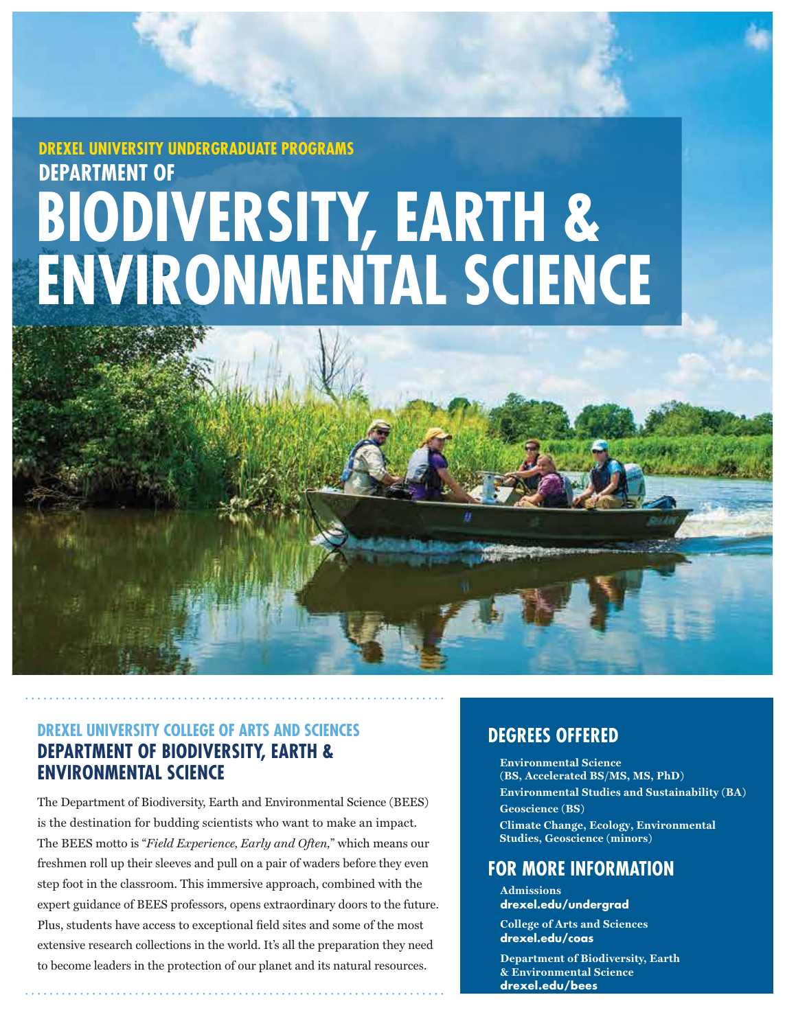# **BIODIVERSITY, EARTH & ENVIRONMENTAL SCIENCE DREXEL UNIVERSITY UNDERGRADUATE PROGRAMS DEPARTMENT OF**



# **DEPARTMENT OF BIODIVERSITY, EARTH & ENVIRONMENTAL SCIENCE**

The Department of Biodiversity, Earth and Environmental Science (BEES) is the destination for budding scientists who want to make an impact. The BEES motto is "*Field Experience, Early and Often,*" which means our freshmen roll up their sleeves and pull on a pair of waders before they even step foot in the classroom. This immersive approach, combined with the expert guidance of BEES professors, opens extraordinary doors to the future. Plus, students have access to exceptional field sites and some of the most extensive research collections in the world. It's all the preparation they need to become leaders in the protection of our planet and its natural resources.

# **DEGREES OFFERED**

**Environmental Science**  $(BS, Accelerated BS/MS, MS, PhD)$  $\overline{\text{Environmental Studies and Sustainable}}$ (BA)  $\textbf{Geoscience}$  (BS) **Climate Change, Ecology, Environmental Studies, Geoscience (minors)** 

## **FOR MORE INFORMATION**

**Admissions drexel.edu/undergrad**

**College of Arts and Sciences drexel.edu/coas**

**Department of Biodiversity, Earth & Environmental Science drexel.edu/bees**